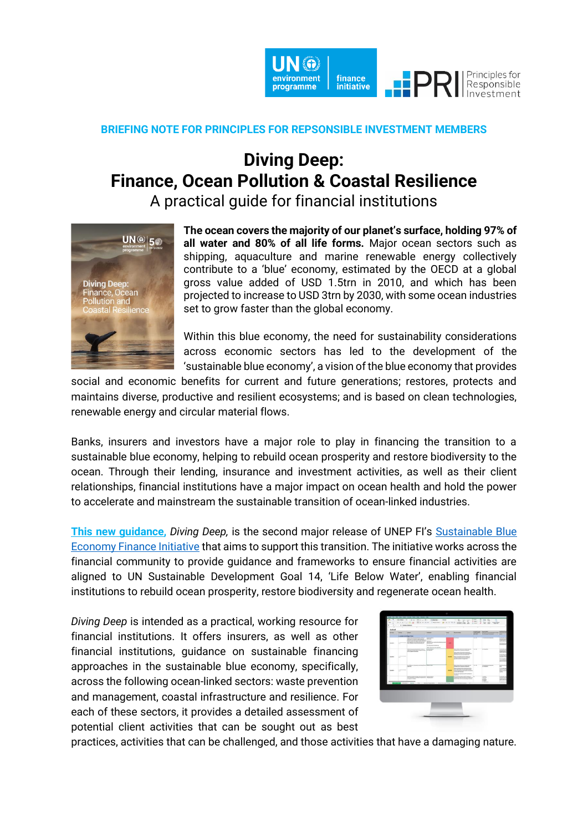

## **BRIEFING NOTE FOR PRINCIPLES FOR REPSONSIBLE INVESTMENT MEMBERS**

## **Diving Deep: Finance, Ocean Pollution & Coastal Resilience**

A practical guide for financial institutions



**The ocean covers the majority of our planet's surface, holding 97% of all water and 80% of all life forms.** Major ocean sectors such as shipping, aquaculture and marine renewable energy collectively contribute to a 'blue' economy, estimated by the OECD at a global gross value added of USD 1.5trn in 2010, and which has been projected to increase to USD 3trn by 2030, with some ocean industries set to grow faster than the global economy.

Within this blue economy, the need for sustainability considerations across economic sectors has led to the development of the 'sustainable blue economy', a vision of the blue economy that provides

social and economic benefits for current and future generations; restores, protects and maintains diverse, productive and resilient ecosystems; and is based on clean technologies, renewable energy and circular material flows.

Banks, insurers and investors have a major role to play in financing the transition to a sustainable blue economy, helping to rebuild ocean prosperity and restore biodiversity to the ocean. Through their lending, insurance and investment activities, as well as their client relationships, financial institutions have a major impact on ocean health and hold the power to accelerate and mainstream the sustainable transition of ocean-linked industries.

**[This new guidance,](http://bit.ly/UNdivingdeep)** *Diving Deep,* is the second major release of UNEP FI's [Sustainable Blue](https://www.unepfi.org/blue-finance/)  [Economy Finance Initiative](https://www.unepfi.org/blue-finance/) that aims to support this transition. The initiative works across the financial community to provide guidance and frameworks to ensure financial activities are aligned to UN Sustainable Development Goal 14, 'Life Below Water', enabling financial institutions to rebuild ocean prosperity, restore biodiversity and regenerate ocean health.

*Diving Deep* is intended as a practical, working resource for financial institutions. It offers insurers, as well as other financial institutions, guidance on sustainable financing approaches in the sustainable blue economy, specifically, across the following ocean-linked sectors: waste prevention and management, coastal infrastructure and resilience. For each of these sectors, it provides a detailed assessment of potential client activities that can be sought out as best



practices, activities that can be challenged, and those activities that have a damaging nature.